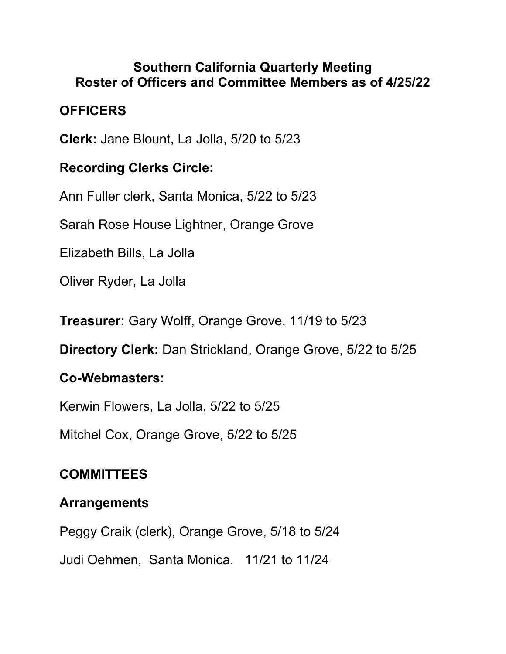#### **Southern California Quarterly Meeting Roster of Officers and Committee Members as of 4/25/22**

## **OFFICERS**

**Clerk:** Jane Blount, La Jolla, 5/20 to 5/23

#### **Recording Clerks Circle:**

Ann Fuller clerk, Santa Monica, 5/22 to 5/23

Sarah Rose House Lightner, Orange Grove

Elizabeth Bills, La Jolla

Oliver Ryder, La Jolla

**Treasurer:** Gary Wolff, Orange Grove, 11/19 to 5/23

**Directory Clerk:** Dan Strickland, Orange Grove, 5/22 to 5/25

## **Co-Webmasters:**

Kerwin Flowers, La Jolla, 5/22 to 5/25

Mitchel Cox, Orange Grove, 5/22 to 5/25

# **COMMITTEES**

## **Arrangements**

Peggy Craik (clerk), Orange Grove, 5/18 to 5/24 Judi Oehmen, Santa Monica. 11/21 to 11/24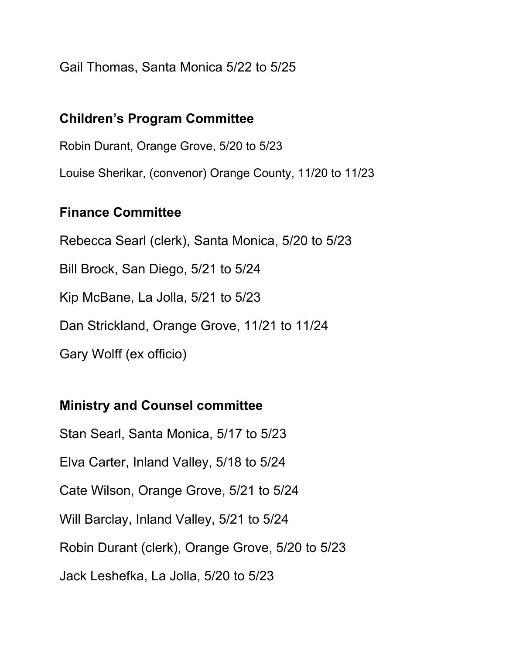Gail Thomas, Santa Monica 5/22 to 5/25

#### **Children's Program Committee**

Robin Durant, Orange Grove, 5/20 to 5/23 Louise Sherikar, (convenor) Orange County, 11/20 to 11/23

#### **Finance Committee**

Rebecca Searl (clerk), Santa Monica, 5/20 to 5/23 Bill Brock, San Diego, 5/21 to 5/24 Kip McBane, La Jolla, 5/21 to 5/23 Dan Strickland, Orange Grove, 11/21 to 11/24 Gary Wolff (ex officio)

## **Ministry and Counsel committee**

Stan Searl, Santa Monica, 5/17 to 5/23 Elva Carter, Inland Valley, 5/18 to 5/24 Cate Wilson, Orange Grove, 5/21 to 5/24 Will Barclay, Inland Valley, 5/21 to 5/24 Robin Durant (clerk), Orange Grove, 5/20 to 5/23 Jack Leshefka, La Jolla, 5/20 to 5/23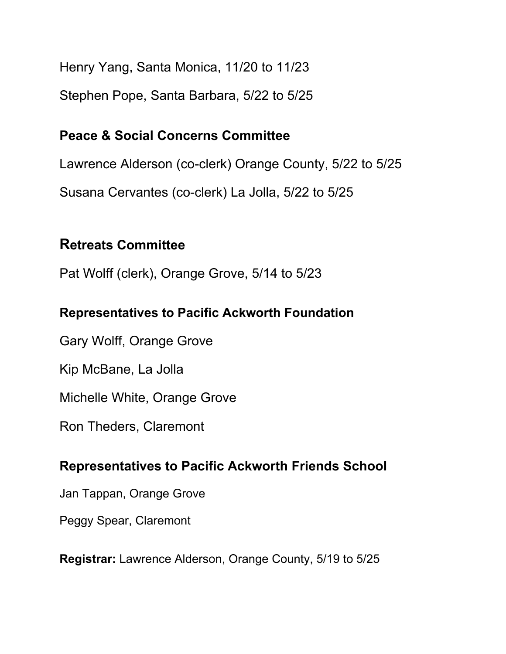Henry Yang, Santa Monica, 11/20 to 11/23 Stephen Pope, Santa Barbara, 5/22 to 5/25

#### **Peace & Social Concerns Committee**

Lawrence Alderson (co-clerk) Orange County, 5/22 to 5/25

Susana Cervantes (co-clerk) La Jolla, 5/22 to 5/25

# **Retreats Committee**

Pat Wolff (clerk), Orange Grove, 5/14 to 5/23

## **Representatives to Pacific Ackworth Foundation**

Gary Wolff, Orange Grove

Kip McBane, La Jolla

Michelle White, Orange Grove

Ron Theders, Claremont

## **Representatives to Pacific Ackworth Friends School**

Jan Tappan, Orange Grove

Peggy Spear, Claremont

**Registrar:** Lawrence Alderson, Orange County, 5/19 to 5/25